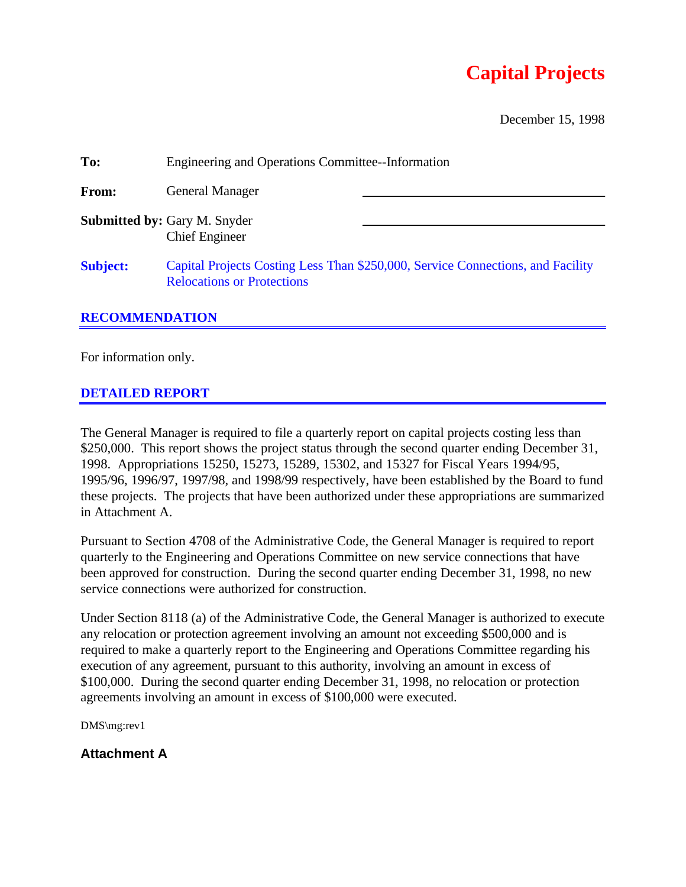## **Capital Projects**

December 15, 1998

| To:             | Engineering and Operations Committee--Information                                                                    |  |  |
|-----------------|----------------------------------------------------------------------------------------------------------------------|--|--|
| From:           | <b>General Manager</b>                                                                                               |  |  |
|                 | <b>Submitted by: Gary M. Snyder</b><br><b>Chief Engineer</b>                                                         |  |  |
| <b>Subject:</b> | Capital Projects Costing Less Than \$250,000, Service Connections, and Facility<br><b>Relocations or Protections</b> |  |  |

## **RECOMMENDATION**

For information only.

## **DETAILED REPORT**

The General Manager is required to file a quarterly report on capital projects costing less than \$250,000. This report shows the project status through the second quarter ending December 31, 1998. Appropriations 15250, 15273, 15289, 15302, and 15327 for Fiscal Years 1994/95, 1995/96, 1996/97, 1997/98, and 1998/99 respectively, have been established by the Board to fund these projects. The projects that have been authorized under these appropriations are summarized in Attachment A.

Pursuant to Section 4708 of the Administrative Code, the General Manager is required to report quarterly to the Engineering and Operations Committee on new service connections that have been approved for construction. During the second quarter ending December 31, 1998, no new service connections were authorized for construction.

Under Section 8118 (a) of the Administrative Code, the General Manager is authorized to execute any relocation or protection agreement involving an amount not exceeding \$500,000 and is required to make a quarterly report to the Engineering and Operations Committee regarding his execution of any agreement, pursuant to this authority, involving an amount in excess of \$100,000. During the second quarter ending December 31, 1998, no relocation or protection agreements involving an amount in excess of \$100,000 were executed.

DMS\mg:rev1

**Attachment A**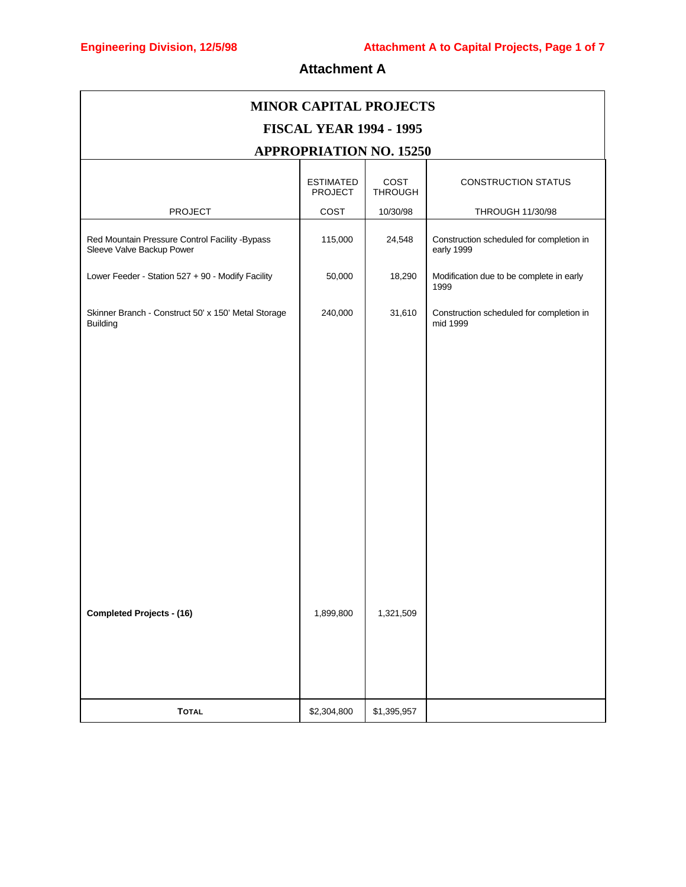## **Attachment A**

| <b>MINOR CAPITAL PROJECTS</b><br><b>FISCAL YEAR 1994 - 1995</b>             |                        |                            |                                                        |  |
|-----------------------------------------------------------------------------|------------------------|----------------------------|--------------------------------------------------------|--|
| <b>APPROPRIATION NO. 15250</b>                                              |                        |                            |                                                        |  |
|                                                                             | <b>ESTIMATED</b>       | COST                       | <b>CONSTRUCTION STATUS</b>                             |  |
| <b>PROJECT</b>                                                              | <b>PROJECT</b><br>COST | <b>THROUGH</b><br>10/30/98 | <b>THROUGH 11/30/98</b>                                |  |
| Red Mountain Pressure Control Facility -Bypass<br>Sleeve Valve Backup Power | 115,000                | 24,548                     | Construction scheduled for completion in<br>early 1999 |  |
| Lower Feeder - Station 527 + 90 - Modify Facility                           | 50,000                 | 18,290                     | Modification due to be complete in early<br>1999       |  |
| Skinner Branch - Construct 50' x 150' Metal Storage<br><b>Building</b>      | 240,000                | 31,610                     | Construction scheduled for completion in<br>mid 1999   |  |
| <b>Completed Projects - (16)</b>                                            | 1,899,800              | 1,321,509                  |                                                        |  |
| <b>TOTAL</b>                                                                | \$2,304,800            | \$1,395,957                |                                                        |  |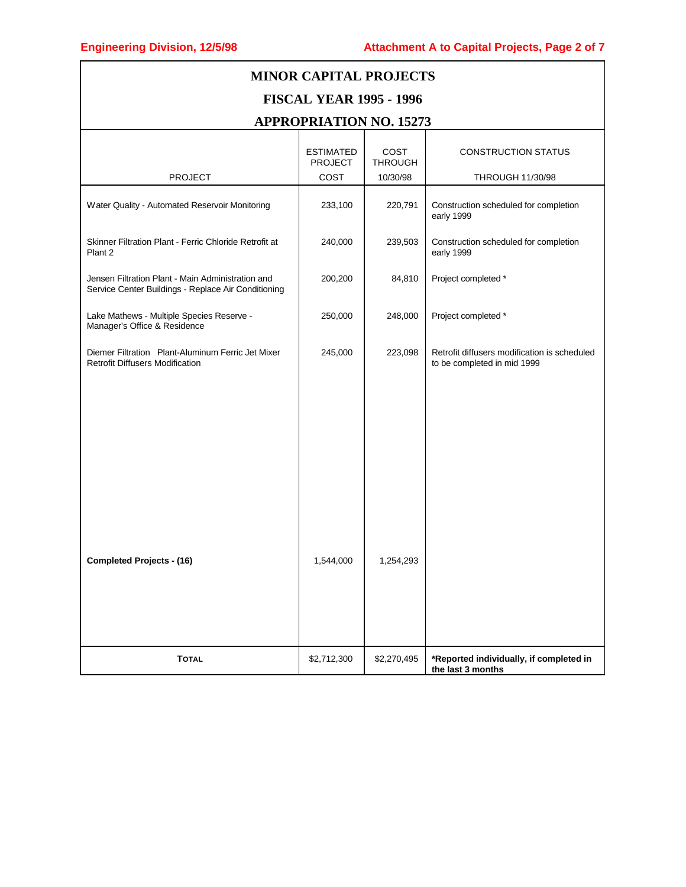| <b>MINOR CAPITAL PROJECTS</b>                                                                            |                                    |                        |                                                                             |  |
|----------------------------------------------------------------------------------------------------------|------------------------------------|------------------------|-----------------------------------------------------------------------------|--|
| <b>FISCAL YEAR 1995 - 1996</b>                                                                           |                                    |                        |                                                                             |  |
| <b>APPROPRIATION NO. 15273</b>                                                                           |                                    |                        |                                                                             |  |
|                                                                                                          | <b>ESTIMATED</b><br><b>PROJECT</b> | COST<br><b>THROUGH</b> | <b>CONSTRUCTION STATUS</b>                                                  |  |
| <b>PROJECT</b>                                                                                           | COST                               | 10/30/98               | <b>THROUGH 11/30/98</b>                                                     |  |
| Water Quality - Automated Reservoir Monitoring                                                           | 233,100                            | 220,791                | Construction scheduled for completion<br>early 1999                         |  |
| Skinner Filtration Plant - Ferric Chloride Retrofit at<br>Plant 2                                        | 240,000                            | 239,503                | Construction scheduled for completion<br>early 1999                         |  |
| Jensen Filtration Plant - Main Administration and<br>Service Center Buildings - Replace Air Conditioning | 200,200                            | 84,810                 | Project completed *                                                         |  |
| Lake Mathews - Multiple Species Reserve -<br>Manager's Office & Residence                                | 250,000                            | 248,000                | Project completed *                                                         |  |
| Diemer Filtration Plant-Aluminum Ferric Jet Mixer<br><b>Retrofit Diffusers Modification</b>              | 245,000                            | 223,098                | Retrofit diffusers modification is scheduled<br>to be completed in mid 1999 |  |
|                                                                                                          |                                    |                        |                                                                             |  |
|                                                                                                          |                                    |                        |                                                                             |  |
|                                                                                                          |                                    |                        |                                                                             |  |
|                                                                                                          |                                    |                        |                                                                             |  |
| <b>Completed Projects - (16)</b>                                                                         | 1,544,000                          | 1,254,293              |                                                                             |  |
|                                                                                                          |                                    |                        |                                                                             |  |
| <b>TOTAL</b>                                                                                             | \$2,712,300                        | \$2,270,495            | *Reported individually, if completed in<br>the last 3 months                |  |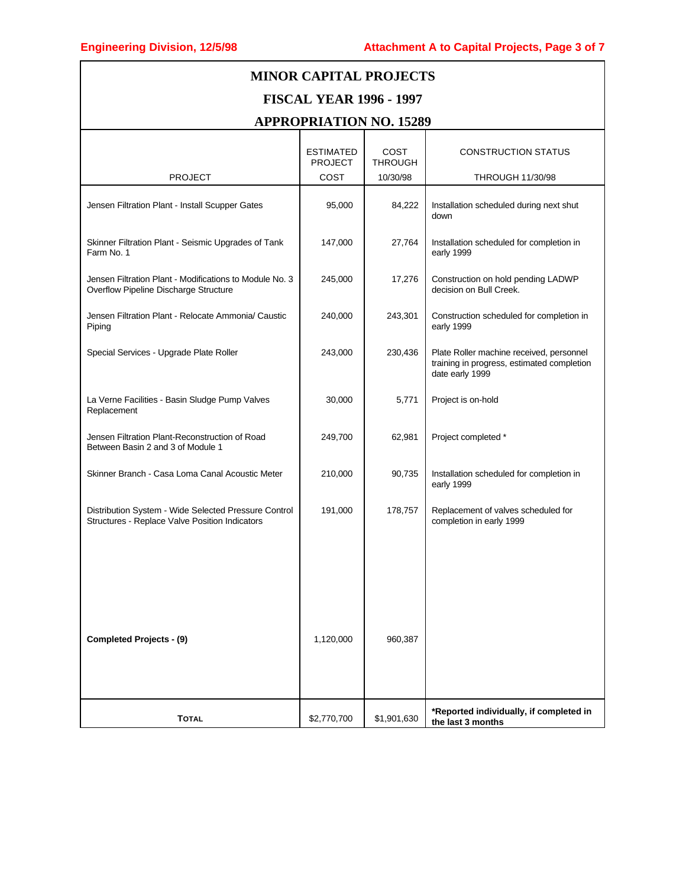| <b>MINOR CAPITAL PROJECTS</b>                                                                          |                                    |                        |                                                                                                           |  |
|--------------------------------------------------------------------------------------------------------|------------------------------------|------------------------|-----------------------------------------------------------------------------------------------------------|--|
| <b>FISCAL YEAR 1996 - 1997</b><br><b>APPROPRIATION NO. 15289</b>                                       |                                    |                        |                                                                                                           |  |
|                                                                                                        | <b>ESTIMATED</b><br><b>PROJECT</b> | COST<br><b>THROUGH</b> | <b>CONSTRUCTION STATUS</b>                                                                                |  |
| <b>PROJECT</b>                                                                                         | COST                               | 10/30/98               | <b>THROUGH 11/30/98</b>                                                                                   |  |
| Jensen Filtration Plant - Install Scupper Gates                                                        | 95,000                             | 84,222                 | Installation scheduled during next shut<br>down                                                           |  |
| Skinner Filtration Plant - Seismic Upgrades of Tank<br>Farm No. 1                                      | 147,000                            | 27,764                 | Installation scheduled for completion in<br>early 1999                                                    |  |
| Jensen Filtration Plant - Modifications to Module No. 3<br>Overflow Pipeline Discharge Structure       | 245,000                            | 17,276                 | Construction on hold pending LADWP<br>decision on Bull Creek.                                             |  |
| Jensen Filtration Plant - Relocate Ammonia/ Caustic<br>Piping                                          | 240,000                            | 243,301                | Construction scheduled for completion in<br>early 1999                                                    |  |
| Special Services - Upgrade Plate Roller                                                                | 243,000                            | 230,436                | Plate Roller machine received, personnel<br>training in progress, estimated completion<br>date early 1999 |  |
| La Verne Facilities - Basin Sludge Pump Valves<br>Replacement                                          | 30,000                             | 5,771                  | Project is on-hold                                                                                        |  |
| Jensen Filtration Plant-Reconstruction of Road<br>Between Basin 2 and 3 of Module 1                    | 249,700                            | 62,981                 | Project completed *                                                                                       |  |
| Skinner Branch - Casa Loma Canal Acoustic Meter                                                        | 210,000                            | 90,735                 | Installation scheduled for completion in<br>early 1999                                                    |  |
| Distribution System - Wide Selected Pressure Control<br>Structures - Replace Valve Position Indicators | 191,000                            | 178,757                | Replacement of valves scheduled for<br>completion in early 1999                                           |  |
| <b>Completed Projects - (9)</b>                                                                        | 1,120,000                          | 960,387                |                                                                                                           |  |
| <b>TOTAL</b>                                                                                           | \$2,770,700                        | \$1,901,630            | *Reported individually, if completed in<br>the last 3 months                                              |  |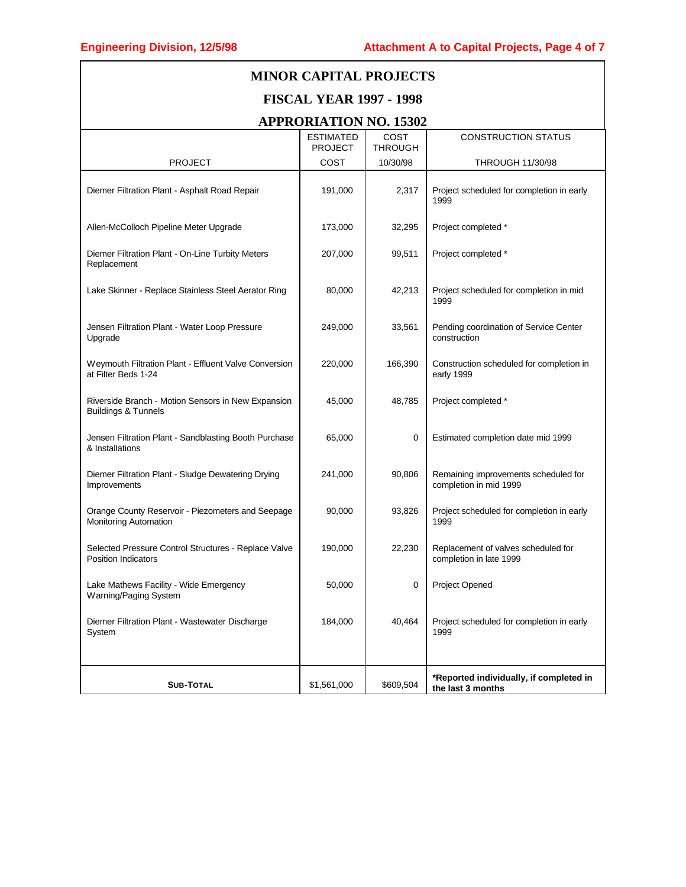| <b>MINOR CAPITAL PROJECTS</b>                                                        |                                    |                        |                                                                |  |  |
|--------------------------------------------------------------------------------------|------------------------------------|------------------------|----------------------------------------------------------------|--|--|
| <b>FISCAL YEAR 1997 - 1998</b>                                                       |                                    |                        |                                                                |  |  |
| <b>APPRORIATION NO. 15302</b>                                                        |                                    |                        |                                                                |  |  |
|                                                                                      | <b>ESTIMATED</b><br><b>PROJECT</b> | COST<br><b>THROUGH</b> | <b>CONSTRUCTION STATUS</b>                                     |  |  |
| <b>PROJECT</b>                                                                       | COST                               | 10/30/98               | <b>THROUGH 11/30/98</b>                                        |  |  |
| Diemer Filtration Plant - Asphalt Road Repair                                        | 191,000                            | 2,317                  | Project scheduled for completion in early<br>1999              |  |  |
| Allen-McColloch Pipeline Meter Upgrade                                               | 173,000                            | 32,295                 | Project completed *                                            |  |  |
| Diemer Filtration Plant - On-Line Turbity Meters<br>Replacement                      | 207,000                            | 99,511                 | Project completed *                                            |  |  |
| Lake Skinner - Replace Stainless Steel Aerator Ring                                  | 80,000                             | 42,213                 | Project scheduled for completion in mid<br>1999                |  |  |
| Jensen Filtration Plant - Water Loop Pressure<br>Upgrade                             | 249,000                            | 33,561                 | Pending coordination of Service Center<br>construction         |  |  |
| Weymouth Filtration Plant - Effluent Valve Conversion<br>at Filter Beds 1-24         | 220,000                            | 166,390                | Construction scheduled for completion in<br>early 1999         |  |  |
| Riverside Branch - Motion Sensors in New Expansion<br><b>Buildings &amp; Tunnels</b> | 45,000                             | 48,785                 | Project completed *                                            |  |  |
| Jensen Filtration Plant - Sandblasting Booth Purchase<br>& Installations             | 65,000                             | 0                      | Estimated completion date mid 1999                             |  |  |
| Diemer Filtration Plant - Sludge Dewatering Drying<br>Improvements                   | 241,000                            | 90,806                 | Remaining improvements scheduled for<br>completion in mid 1999 |  |  |
| Orange County Reservoir - Piezometers and Seepage<br>Monitoring Automation           | 90,000                             | 93,826                 | Project scheduled for completion in early<br>1999              |  |  |
| Selected Pressure Control Structures - Replace Valve<br><b>Position Indicators</b>   | 190,000                            | 22,230                 | Replacement of valves scheduled for<br>completion in late 1999 |  |  |
| Lake Mathews Facility - Wide Emergency<br>Warning/Paging System                      | 50.000                             | 0                      | Project Opened                                                 |  |  |
| Diemer Filtration Plant - Wastewater Discharge<br>System                             | 184,000                            | 40,464                 | Project scheduled for completion in early<br>1999              |  |  |
| <b>SUB-TOTAL</b>                                                                     | \$1,561,000                        | \$609,504              | *Reported individually, if completed in<br>the last 3 months   |  |  |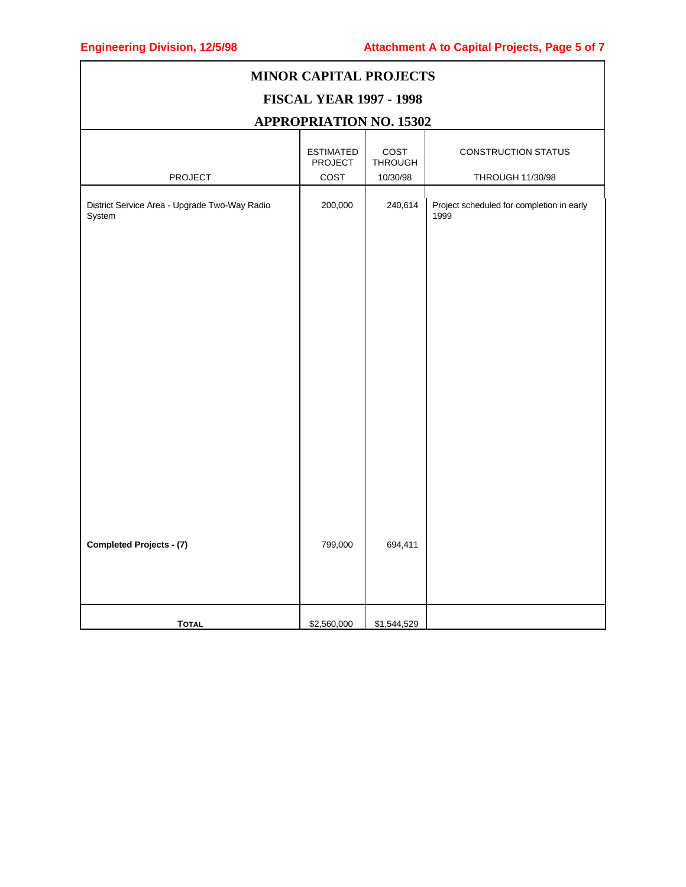| <b>MINOR CAPITAL PROJECTS</b>                                                              |                                            |                             |                                                   |  |
|--------------------------------------------------------------------------------------------|--------------------------------------------|-----------------------------|---------------------------------------------------|--|
| <b>FISCAL YEAR 1997 - 1998</b>                                                             |                                            |                             |                                                   |  |
| <b>APPROPRIATION NO. 15302</b>                                                             |                                            |                             |                                                   |  |
| <b>PROJECT</b>                                                                             | <b>ESTIMATED</b><br><b>PROJECT</b><br>COST | COST<br>THROUGH<br>10/30/98 | <b>CONSTRUCTION STATUS</b><br>THROUGH 11/30/98    |  |
| District Service Area - Upgrade Two-Way Radio<br>System<br><b>Completed Projects - (7)</b> | 200,000<br>799,000                         | 240,614<br>694,411          | Project scheduled for completion in early<br>1999 |  |
| <b>TOTAL</b>                                                                               | \$2,560,000                                | \$1,544,529                 |                                                   |  |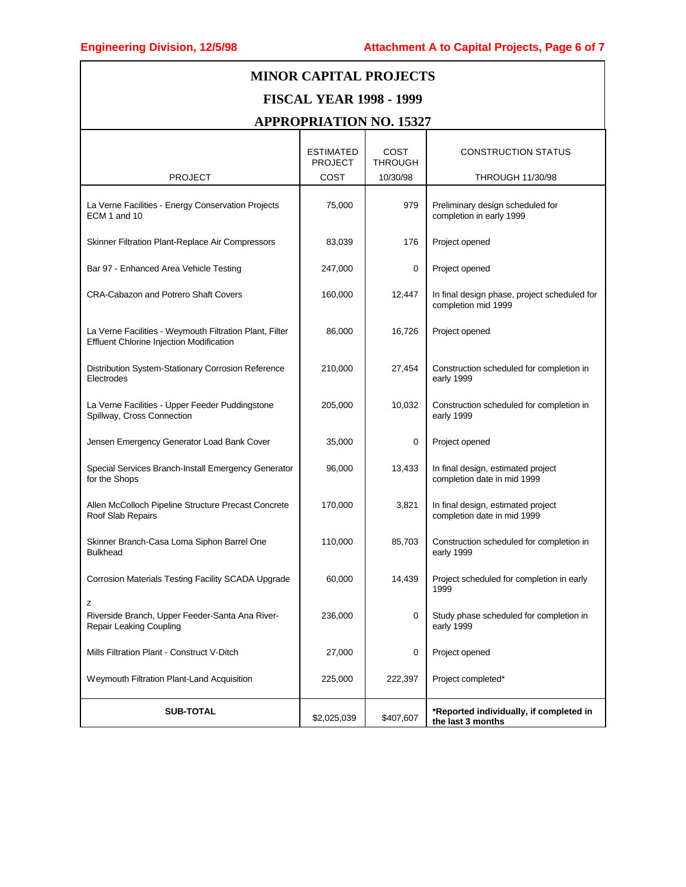| <b>MINOR CAPITAL PROJECTS</b>                                                                              |                                    |                        |                                                                     |  |
|------------------------------------------------------------------------------------------------------------|------------------------------------|------------------------|---------------------------------------------------------------------|--|
| <b>FISCAL YEAR 1998 - 1999</b><br><b>APPROPRIATION NO. 15327</b>                                           |                                    |                        |                                                                     |  |
|                                                                                                            |                                    |                        |                                                                     |  |
|                                                                                                            | <b>ESTIMATED</b><br><b>PROJECT</b> | COST<br><b>THROUGH</b> | <b>CONSTRUCTION STATUS</b>                                          |  |
| <b>PROJECT</b>                                                                                             | COST                               | 10/30/98               | <b>THROUGH 11/30/98</b>                                             |  |
| La Verne Facilities - Energy Conservation Projects<br>ECM 1 and 10                                         | 75,000                             | 979                    | Preliminary design scheduled for<br>completion in early 1999        |  |
| Skinner Filtration Plant-Replace Air Compressors                                                           | 83,039                             | 176                    | Project opened                                                      |  |
| Bar 97 - Enhanced Area Vehicle Testing                                                                     | 247,000                            | 0                      | Project opened                                                      |  |
| <b>CRA-Cabazon and Potrero Shaft Covers</b>                                                                | 160,000                            | 12,447                 | In final design phase, project scheduled for<br>completion mid 1999 |  |
| La Verne Facilities - Weymouth Filtration Plant, Filter<br><b>Effluent Chlorine Injection Modification</b> | 86,000                             | 16,726                 | Project opened                                                      |  |
| Distribution System-Stationary Corrosion Reference<br>Electrodes                                           | 210,000                            | 27,454                 | Construction scheduled for completion in<br>early 1999              |  |
| La Verne Facilities - Upper Feeder Puddingstone<br>Spillway, Cross Connection                              | 205,000                            | 10,032                 | Construction scheduled for completion in<br>early 1999              |  |
| Jensen Emergency Generator Load Bank Cover                                                                 | 35,000                             | 0                      | Project opened                                                      |  |
| Special Services Branch-Install Emergency Generator<br>for the Shops                                       | 96,000                             | 13,433                 | In final design, estimated project<br>completion date in mid 1999   |  |
| Allen McColloch Pipeline Structure Precast Concrete<br>Roof Slab Repairs                                   | 170,000                            | 3,821                  | In final design, estimated project<br>completion date in mid 1999   |  |
| Skinner Branch-Casa Loma Siphon Barrel One<br><b>Bulkhead</b>                                              | 110,000                            | 85,703                 | Construction scheduled for completion in<br>early 1999              |  |
| Corrosion Materials Testing Facility SCADA Upgrade                                                         | 60,000                             | 14,439                 | Project scheduled for completion in early<br>1999                   |  |
| z<br>Riverside Branch, Upper Feeder-Santa Ana River-<br>Repair Leaking Coupling                            | 236,000                            | 0                      | Study phase scheduled for completion in<br>early 1999               |  |
| Mills Filtration Plant - Construct V-Ditch                                                                 | 27,000                             | 0                      | Project opened                                                      |  |
| Weymouth Filtration Plant-Land Acquisition                                                                 | 225,000                            | 222,397                | Project completed*                                                  |  |
| <b>SUB-TOTAL</b>                                                                                           | \$2,025,039                        | \$407,607              | *Reported individually, if completed in<br>the last 3 months        |  |